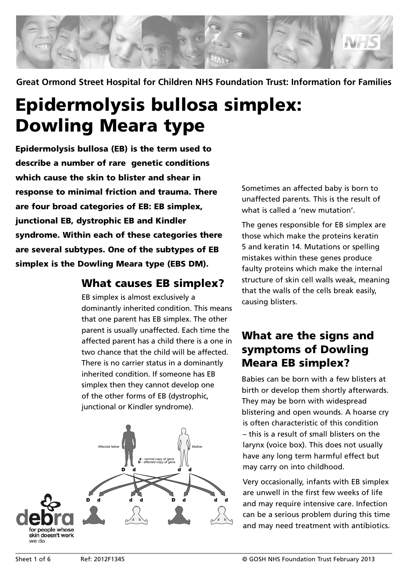

**Great Ormond Street Hospital for Children NHS Foundation Trust: Information for Families**

# Epidermolysis bullosa simplex: Dowling Meara type

Epidermolysis bullosa (EB) is the term used to describe a number of rare genetic conditions which cause the skin to blister and shear in response to minimal friction and trauma. There are four broad categories of EB: EB simplex, junctional EB, dystrophic EB and Kindler syndrome. Within each of these categories there are several subtypes. One of the subtypes of EB simplex is the Dowling Meara type (EBS DM).

#### What causes EB simplex?

EB simplex is almost exclusively a dominantly inherited condition. This means that one parent has EB simplex. The other parent is usually unaffected. Each time the affected parent has a child there is a one in two chance that the child will be affected. There is no carrier status in a dominantly inherited condition. If someone has EB simplex then they cannot develop one of the other forms of EB (dystrophic, junctional or Kindler syndrome).



Sometimes an affected baby is born to unaffected parents. This is the result of what is called a 'new mutation'.

The genes responsible for EB simplex are those which make the proteins keratin 5 and keratin 14. Mutations or spelling mistakes within these genes produce faulty proteins which make the internal structure of skin cell walls weak, meaning that the walls of the cells break easily, causing blisters.

## What are the signs and symptoms of Dowling Meara EB simplex?

Babies can be born with a few blisters at birth or develop them shortly afterwards. They may be born with widespread blistering and open wounds. A hoarse cry is often characteristic of this condition – this is a result of small blisters on the larynx (voice box). This does not usually have any long term harmful effect but may carry on into childhood.

Very occasionally, infants with EB simplex are unwell in the first few weeks of life and may require intensive care. Infection can be a serious problem during this time and may need treatment with antibiotics.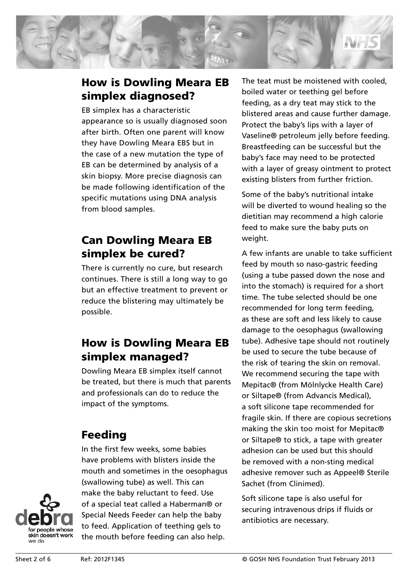

## How is Dowling Meara EB simplex diagnosed?

EB simplex has a characteristic appearance so is usually diagnosed soon after birth. Often one parent will know they have Dowling Meara EBS but in the case of a new mutation the type of EB can be determined by analysis of a skin biopsy. More precise diagnosis can be made following identification of the specific mutations using DNA analysis from blood samples.

## Can Dowling Meara EB simplex be cured?

There is currently no cure, but research continues. There is still a long way to go but an effective treatment to prevent or reduce the blistering may ultimately be possible.

# How is Dowling Meara EB simplex managed?

Dowling Meara EB simplex itself cannot be treated, but there is much that parents and professionals can do to reduce the impact of the symptoms.

# Feeding

In the first few weeks, some babies have problems with blisters inside the mouth and sometimes in the oesophagus (swallowing tube) as well. This can make the baby reluctant to feed. Use of a special teat called a Haberman® or Special Needs Feeder can help the baby to feed. Application of teething gels to the mouth before feeding can also help.

The teat must be moistened with cooled, boiled water or teething gel before feeding, as a dry teat may stick to the blistered areas and cause further damage. Protect the baby's lips with a layer of Vaseline® petroleum jelly before feeding. Breastfeeding can be successful but the baby's face may need to be protected with a layer of greasy ointment to protect existing blisters from further friction.

Some of the baby's nutritional intake will be diverted to wound healing so the dietitian may recommend a high calorie feed to make sure the baby puts on weight.

A few infants are unable to take sufficient feed by mouth so naso-gastric feeding (using a tube passed down the nose and into the stomach) is required for a short time. The tube selected should be one recommended for long term feeding, as these are soft and less likely to cause damage to the oesophagus (swallowing tube). Adhesive tape should not routinely be used to secure the tube because of the risk of tearing the skin on removal. We recommend securing the tape with Mepitac® (from Mölnlycke Health Care) or Siltape® (from Advancis Medical), a soft silicone tape recommended for fragile skin. If there are copious secretions making the skin too moist for Mepitac® or Siltape® to stick, a tape with greater adhesion can be used but this should be removed with a non-sting medical adhesive remover such as Appeel® Sterile Sachet (from Clinimed).

Soft silicone tape is also useful for securing intravenous drips if fluids or antibiotics are necessary.

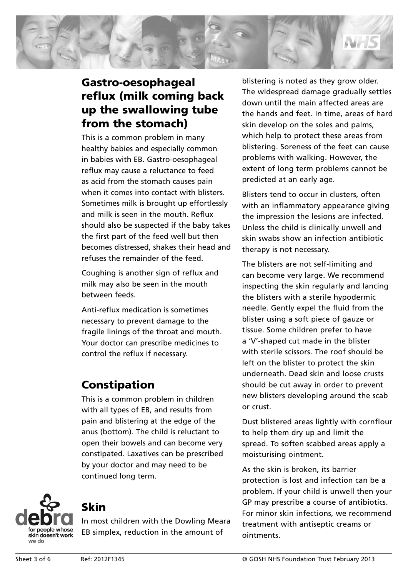

## Gastro-oesophageal reflux (milk coming back up the swallowing tube from the stomach)

This is a common problem in many healthy babies and especially common in babies with EB. Gastro-oesophageal reflux may cause a reluctance to feed as acid from the stomach causes pain when it comes into contact with blisters. Sometimes milk is brought up effortlessly and milk is seen in the mouth. Reflux should also be suspected if the baby takes the first part of the feed well but then becomes distressed, shakes their head and refuses the remainder of the feed.

Coughing is another sign of reflux and milk may also be seen in the mouth between feeds.

Anti-reflux medication is sometimes necessary to prevent damage to the fragile linings of the throat and mouth. Your doctor can prescribe medicines to control the reflux if necessary.

## Constipation

This is a common problem in children with all types of EB, and results from pain and blistering at the edge of the anus (bottom). The child is reluctant to open their bowels and can become very constipated. Laxatives can be prescribed by your doctor and may need to be continued long term.



# Skin

In most children with the Dowling Meara EB simplex, reduction in the amount of

blistering is noted as they grow older. The widespread damage gradually settles down until the main affected areas are the hands and feet. In time, areas of hard skin develop on the soles and palms, which help to protect these areas from blistering. Soreness of the feet can cause problems with walking. However, the extent of long term problems cannot be predicted at an early age.

Blisters tend to occur in clusters, often with an inflammatory appearance giving the impression the lesions are infected. Unless the child is clinically unwell and skin swabs show an infection antibiotic therapy is not necessary.

The blisters are not self-limiting and can become very large. We recommend inspecting the skin regularly and lancing the blisters with a sterile hypodermic needle. Gently expel the fluid from the blister using a soft piece of gauze or tissue. Some children prefer to have a 'V'-shaped cut made in the blister with sterile scissors. The roof should be left on the blister to protect the skin underneath. Dead skin and loose crusts should be cut away in order to prevent new blisters developing around the scab or crust.

Dust blistered areas lightly with cornflour to help them dry up and limit the spread. To soften scabbed areas apply a moisturising ointment.

As the skin is broken, its barrier protection is lost and infection can be a problem. If your child is unwell then your GP may prescribe a course of antibiotics. For minor skin infections, we recommend treatment with antiseptic creams or ointments.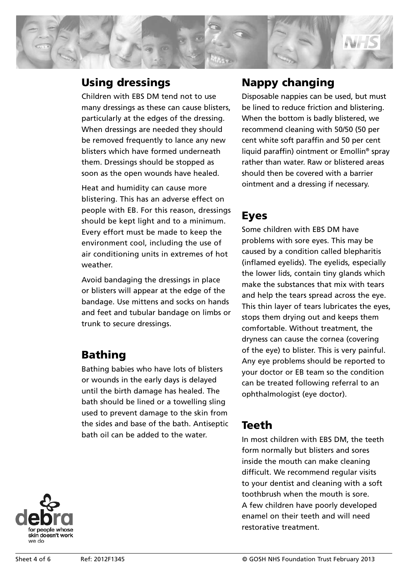

#### Using dressings

Children with EBS DM tend not to use many dressings as these can cause blisters, particularly at the edges of the dressing. When dressings are needed they should be removed frequently to lance any new blisters which have formed underneath them. Dressings should be stopped as soon as the open wounds have healed.

Heat and humidity can cause more blistering. This has an adverse effect on people with EB. For this reason, dressings should be kept light and to a minimum. Every effort must be made to keep the environment cool, including the use of air conditioning units in extremes of hot weather.

Avoid bandaging the dressings in place or blisters will appear at the edge of the bandage. Use mittens and socks on hands and feet and tubular bandage on limbs or trunk to secure dressings.

## Bathing

Bathing babies who have lots of blisters or wounds in the early days is delayed until the birth damage has healed. The bath should be lined or a towelling sling used to prevent damage to the skin from the sides and base of the bath. Antiseptic bath oil can be added to the water.

## Nappy changing

Disposable nappies can be used, but must be lined to reduce friction and blistering. When the bottom is badly blistered, we recommend cleaning with 50/50 (50 per cent white soft paraffin and 50 per cent liquid paraffin) ointment or Emollin® spray rather than water. Raw or blistered areas should then be covered with a barrier ointment and a dressing if necessary.

## Eyes

Some children with EBS DM have problems with sore eyes. This may be caused by a condition called blepharitis (inflamed eyelids). The eyelids, especially the lower lids, contain tiny glands which make the substances that mix with tears and help the tears spread across the eye. This thin layer of tears lubricates the eyes, stops them drying out and keeps them comfortable. Without treatment, the dryness can cause the cornea (covering of the eye) to blister. This is very painful. Any eye problems should be reported to your doctor or EB team so the condition can be treated following referral to an ophthalmologist (eye doctor).

#### Teeth

In most children with EBS DM, the teeth form normally but blisters and sores inside the mouth can make cleaning difficult. We recommend regular visits to your dentist and cleaning with a soft toothbrush when the mouth is sore. A few children have poorly developed enamel on their teeth and will need restorative treatment.

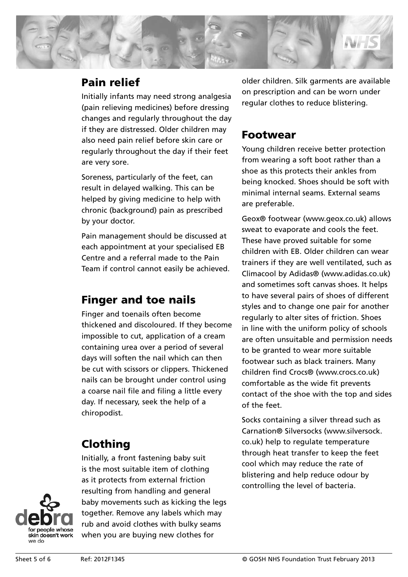

#### Pain relief

Initially infants may need strong analgesia (pain relieving medicines) before dressing changes and regularly throughout the day if they are distressed. Older children may also need pain relief before skin care or regularly throughout the day if their feet are very sore.

Soreness, particularly of the feet, can result in delayed walking. This can be helped by giving medicine to help with chronic (background) pain as prescribed by your doctor.

Pain management should be discussed at each appointment at your specialised EB Centre and a referral made to the Pain Team if control cannot easily be achieved.

#### Finger and toe nails

Finger and toenails often become thickened and discoloured. If they become impossible to cut, application of a cream containing urea over a period of several days will soften the nail which can then be cut with scissors or clippers. Thickened nails can be brought under control using a coarse nail file and filing a little every day. If necessary, seek the help of a chiropodist.

# Clothing

Initially, a front fastening baby suit is the most suitable item of clothing as it protects from external friction resulting from handling and general baby movements such as kicking the legs together. Remove any labels which may rub and avoid clothes with bulky seams when you are buying new clothes for

older children. Silk garments are available on prescription and can be worn under regular clothes to reduce blistering.

#### Footwear

Young children receive better protection from wearing a soft boot rather than a shoe as this protects their ankles from being knocked. Shoes should be soft with minimal internal seams. External seams are preferable.

Geox® footwear (www.geox.co.uk) allows sweat to evaporate and cools the feet. These have proved suitable for some children with EB. Older children can wear trainers if they are well ventilated, such as Climacool by Adidas® (www.adidas.co.uk) and sometimes soft canvas shoes. It helps to have several pairs of shoes of different styles and to change one pair for another regularly to alter sites of friction. Shoes in line with the uniform policy of schools are often unsuitable and permission needs to be granted to wear more suitable footwear such as black trainers. Many children find Crocs® (www.crocs.co.uk) comfortable as the wide fit prevents contact of the shoe with the top and sides of the feet.

Socks containing a silver thread such as Carnation® Silversocks (www.silversock. co.uk) help to regulate temperature through heat transfer to keep the feet cool which may reduce the rate of blistering and help reduce odour by controlling the level of bacteria.